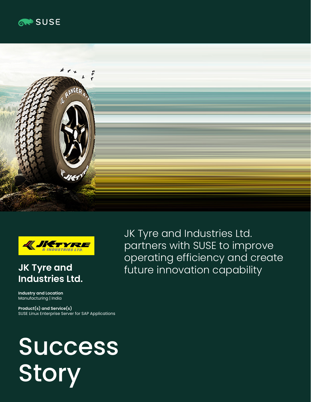





# **JK Tyre and Industries Ltd.**

**Industry and Location** Manufacturing | India

**Product(s) and Service(s)** SUSE Linux Enterprise Server for SAP Applications

Success **Story** 

JK Tyre and Industries Ltd. partners with SUSE to improve operating efficiency and create future innovation capability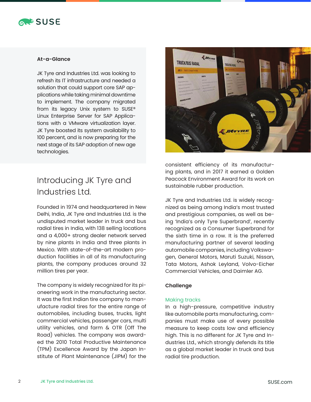

### **At-a-Glance**

JK Tyre and Industries Ltd. was looking to refresh its IT infrastructure and needed a solution that could support core SAP applications while taking minimal downtime to implement. The company migrated from its legacy Unix system to SUSE® Linux Enterprise Server for SAP Applications with a VMware virtualization layer. JK Tyre boosted its system availability to 100 percent, and is now preparing for the next stage of its SAP adoption of new age technologies.

# Introducing JK Tyre and Industries Ltd.

Founded in 1974 and headquartered in New Delhi, India, JK Tyre and Industries Ltd. is the undisputed market leader in truck and bus radial tires in India, with 138 selling locations and a 4,000+ strong dealer network served by nine plants in India and three plants in Mexico. With state-of-the-art modern production facilities in all of its manufacturing plants, the company produces around 32 million tires per year.

The company is widely recognized for its pioneering work in the manufacturing sector. It was the first Indian tire company to manufacture radial tires for the entire range of automobiles, including buses, trucks, light commercial vehicles, passenger cars, multi utility vehicles, and farm & OTR (Off The Road) vehicles. The company was awarded the 2010 Total Productive Maintenance (TPM) Excellence Award by the Japan Institute of Plant Maintenance (JIPM) for the



consistent efficiency of its manufacturing plants, and in 2017 it earned a Golden Peacock Environment Award for its work on sustainable rubber production.

JK Tyre and Industries Ltd. is widely recognized as being among India's most trusted and prestigious companies, as well as being 'India's only Tyre Superbrand', recently recognized as a Consumer Superbrand for the sixth time in a row. It is the preferred manufacturing partner of several leading automobile companies, including Volkswagen, General Motors, Maruti Suzuki, Nissan, Tata Motors, Ashok Leyland, Volvo-Eicher Commercial Vehicles, and Daimler AG.

#### **Challenge**

#### Making tracks

In a high-pressure, competitive industry like automobile parts manufacturing, companies must make use of every possible measure to keep costs low and efficiency high. This is no different for JK Tyre and Industries Ltd., which strongly defends its title as a global market leader in truck and bus radial tire production.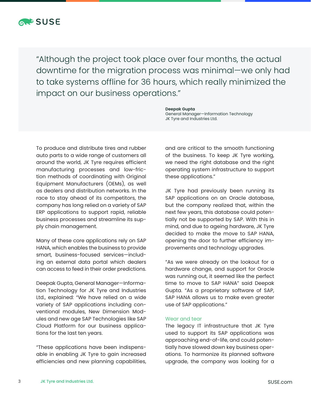

"Although the project took place over four months, the actual downtime for the migration process was minimal—we only had to take systems offline for 36 hours, which really minimized the impact on our business operations."

> **Deepak Gupta** General Manager—Information Technology JK Tyre and Industries Ltd.

To produce and distribute tires and rubber auto parts to a wide range of customers all around the world, JK Tyre requires efficient manufacturing processes and low-friction methods of coordinating with Original Equipment Manufacturers (OEMs), as well as dealers and distribution networks. In the race to stay ahead of its competitors, the company has long relied on a variety of SAP ERP applications to support rapid, reliable business processes and streamline its supply chain management.

Many of these core applications rely on SAP HANA, which enables the business to provide smart, business-focused services—including an external data portal which dealers can access to feed in their order predictions.

Deepak Gupta, General Manager—Information Technology for JK Tyre and Industries Ltd., explained: "We have relied on a wide variety of SAP applications including conventional modules, New Dimension Modules and new age SAP Technologies like SAP Cloud Platform for our business applications for the last ten years.

"These applications have been indispensable in enabling JK Tyre to gain increased efficiencies and new planning capabilities,

and are critical to the smooth functioning of the business. To keep JK Tyre working, we need the right database and the right operating system infrastructure to support these applications."

JK Tyre had previously been running its SAP applications on an Oracle database, but the company realized that, within the next few years, this database could potentially not be supported by SAP. With this in mind, and due to ageing hardware, JK Tyre decided to make the move to SAP HANA, opening the door to further efficiency improvements and technology upgrades.

"As we were already on the lookout for a hardware change, and support for Oracle was running out, it seemed like the perfect time to move to SAP HANA" said Deepak Gupta. "As a proprietary software of SAP, SAP HANA allows us to make even greater use of SAP applications."

#### Wear and tear

The legacy IT infrastructure that JK Tyre used to support its SAP applications was approaching end-of-life, and could potentially have slowed down key business operations. To harmonize its planned software upgrade, the company was looking for a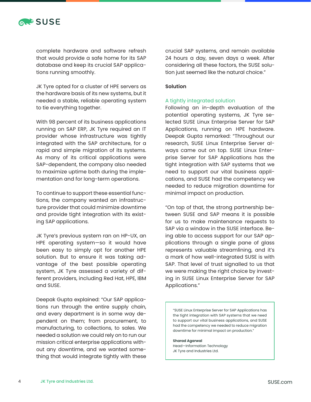

complete hardware and software refresh that would provide a safe home for its SAP database and keep its crucial SAP applications running smoothly.

JK Tyre opted for a cluster of HPE servers as the hardware basis of its new systems, but it needed a stable, reliable operating system to tie everything together.

With 98 percent of its business applications running on SAP ERP, JK Tyre required an IT provider whose infrastructure was tightly integrated with the SAP architecture, for a rapid and simple migration of its systems. As many of its critical applications were SAP-dependent, the company also needed to maximize uptime both during the implementation and for long-term operations.

To continue to support these essential functions, the company wanted an infrastructure provider that could minimize downtime and provide tight integration with its existing SAP applications.

JK Tyre's previous system ran on HP-UX, an HPE operating system—so it would have been easy to simply opt for another HPE solution. But to ensure it was taking advantage of the best possible operating system, JK Tyre assessed a variety of different providers, including Red Hat, HPE, IBM and SUSE.

Deepak Gupta explained: "Our SAP applications run through the entire supply chain, and every department is in some way dependent on them; from procurement, to manufacturing, to collections, to sales. We needed a solution we could rely on to run our mission critical enterprise applications without any downtime, and we wanted something that would integrate tightly with these crucial SAP systems, and remain available 24 hours a day, seven days a week. After considering all these factors, the SUSE solution just seemed like the natural choice."

#### **Solution**

#### A tightly integrated solution

Following an in-depth evaluation of the potential operating systems, JK Tyre selected SUSE Linux Enterprise Server for SAP Applications, running on HPE hardware. Deepak Gupta remarked: "Throughout our research, SUSE Linux Enterprise Server always came out on top. SUSE Linux Enterprise Server for SAP Applications has the tight integration with SAP systems that we need to support our vital business applications, and SUSE had the competency we needed to reduce migration downtime for minimal impact on production.

"On top of that, the strong partnership between SUSE and SAP means it is possible for us to make maintenance requests to SAP via a window in the SUSE interface. Being able to access support for our SAP applications through a single pane of glass represents valuable streamlining, and it's a mark of how well-integrated SUSE is with SAP. That level of trust signalled to us that we were making the right choice by investing in SUSE Linux Enterprise Server for SAP Applications."

"SUSE Linux Enterprise Server for SAP Applications has the tight integration with SAP systems that we need to support our vital business applications, and SUSE had the competency we needed to reduce migration downtime for minimal impact on production."

**Sharad Agarwal** Head—Information Technology JK Tyre and Industries Ltd.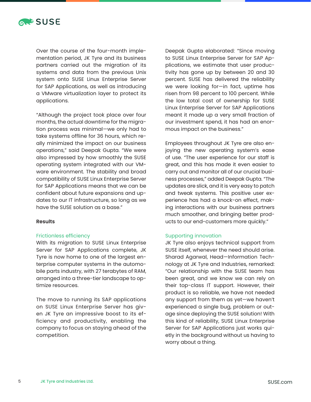

Over the course of the four-month implementation period, JK Tyre and its business partners carried out the migration of its systems and data from the previous Unix system onto SUSE Linux Enterprise Server for SAP Applications, as well as introducing a VMware virtualization layer to protect its applications.

"Although the project took place over four months, the actual downtime for the migration process was minimal—we only had to take systems offline for 36 hours, which really minimized the impact on our business operations," said Deepak Gupta. "We were also impressed by how smoothly the SUSE operating system integrated with our VMware environment. The stability and broad compatibility of SUSE Linux Enterprise Server for SAP Applications means that we can be confident about future expansions and updates to our IT infrastructure, so long as we have the SUSE solution as a base."

#### **Results**

#### Frictionless efficiency

With its migration to SUSE Linux Enterprise Server for SAP Applications complete, JK Tyre is now home to one of the largest enterprise computer systems in the automobile parts industry, with 27 terabytes of RAM, arranged into a three-tier landscape to optimize resources.

The move to running its SAP applications on SUSE Linux Enterprise Server has given JK Tyre an impressive boost to its efficiency and productivity, enabling the company to focus on staying ahead of the competition.

Deepak Gupta elaborated: "Since moving to SUSE Linux Enterprise Server for SAP Applications, we estimate that user productivity has gone up by between 20 and 30 percent. SUSE has delivered the reliability we were looking for—in fact, uptime has risen from 98 percent to 100 percent. While the low total cost of ownership for SUSE Linux Enterprise Server for SAP Applications meant it made up a very small fraction of our investment spend, it has had an enormous impact on the business."

Employees throughout JK Tyre are also enjoying the new operating system's ease of use. "The user experience for our staff is great, and this has made it even easier to carry out and monitor all of our crucial business processes," added Deepak Gupta. "The updates are slick, and it is very easy to patch and tweak systems. This positive user experience has had a knock-on effect, making interactions with our business partners much smoother, and bringing better products to our end-customers more quickly."

#### Supporting innovation

JK Tyre also enjoys technical support from SUSE itself, whenever the need should arise. Sharad Agarwal, Head—Information Technology at JK Tyre and Industries, remarked: "Our relationship with the SUSE team has been great, and we know we can rely on their top-class IT support. However, their product is so reliable, we have not needed any support from them as yet—we haven't experienced a single bug, problem or outage since deploying the SUSE solution! With this kind of reliability, SUSE Linux Enterprise Server for SAP Applications just works quietly in the background without us having to worry about a thing.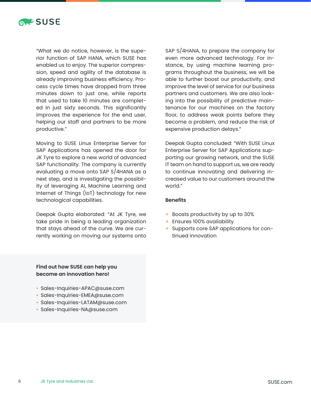

"What we do notice, however, is the superior function of SAP HANA, which SUSE has enabled us to enjoy. The superior compression, speed and agility of the database is already improving business efficiency. Process cycle times have dropped from three minutes down to just one, while reports that used to take 10 minutes are completed in just sixty seconds. This significantly improves the experience for the end user, helping our staff and partners to be more productive."

Moving to SUSE Linux Enterprise Server for SAP Applications has opened the door for JK Tyre to explore a new world of advanced SAP functionality. The company is currently evaluating a move onto SAP S/4HANA as a next step, and is investigating the possibility of leveraging AI, Machine Learning and Internet of Things (IoT) technology for new technological capabilities.

Deepak Gupta elaborated: "At JK Tyre, we take pride in being a leading organization that stays ahead of the curve. We are currently working on moving our systems onto SAP S/4HANA, to prepare the company for even more advanced technology. For instance, by using machine learning programs throughout the business, we will be able to further boost our productivity, and improve the level of service for our business partners and customers. We are also looking into the possibility of predictive maintenance for our machines on the factory floor, to address weak points before they become a problem, and reduce the risk of expensive production delays."

Deepak Gupta concluded: "With SUSE Linux Enterprise Server for SAP Applications supporting our growing network, and the SUSE IT team on hand to support us, we are ready to continue innovating and delivering increased value to our customers around the world."

#### **Benefits**

- + Boosts productivity by up to 30%
- + Ensures 100% availability
- + Supports core SAP applications for continued innovation

## **Find out how SUSE can help you become an innovation hero!**

- Sales-Inquiries-APAC@suse.com
- Sales-Inquiries-EMEA@suse.com
- Sales-Inquiries-LATAM@suse.com
- Sales-Inquiries-NA@suse.com